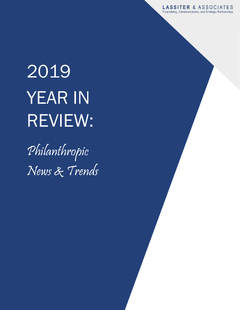**LASSITER & ASSOCIATES** Fundraising, Communications, and Strategic Partnerships

# 2019 YEAR IN REVIEW:

Philanthropic News & Trends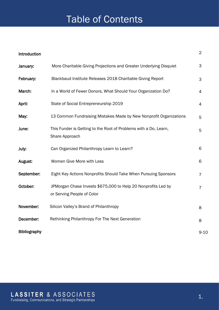# Table of Contents

| Introduction |                                                                                             | $\overline{2}$ |
|--------------|---------------------------------------------------------------------------------------------|----------------|
| January:     | More Charitable Giving Projections and Greater Underlying Disquiet                          | 3              |
| February:    | Blackbaud Institute Releases 2018 Charitable Giving Report                                  | 3              |
| March:       | In a World of Fewer Donors, What Should Your Organization Do?                               | 4              |
| April:       | State of Social Entrepreneurship 2019                                                       | 4              |
| May:         | 13 Common Fundraising Mistakes Made by New Nonprofit Organizations                          | 5              |
| June:        | This Funder is Getting to the Root of Problems with a Do, Learn,<br>Share Approach          | 5              |
| July:        | Can Organized Philanthropy Learn to Learn?                                                  | 6              |
| August:      | Women Give More with Less                                                                   | 6              |
| September:   | Eight Key Actions Nonprofits Should Take When Pursuing Sponsors                             | $\overline{7}$ |
| October:     | JPMorgan Chase Invests \$675,000 to Help 20 Nonprofits Led by<br>or Serving People of Color | $\overline{7}$ |
| November:    | Silicon Valley's Brand of Philanthropy                                                      | 8              |
| December:    | Rethinking Philanthropy For The Next Generation                                             | 8              |
| Bibliography |                                                                                             | $9 - 10$       |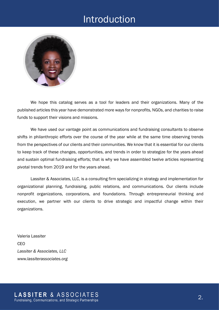### Introduction



We hope this catalog serves as a tool for leaders and their organizations. Many of the published articles this year have demonstrated more ways for nonprofits, NGOs, and charities to raise funds to support their visions and missions.

We have used our vantage point as communications and fundraising consultants to observe shifts in philanthropic efforts over the course of the year while at the same time observing trends from the perspectives of our clients and their communities. We know that it is essential for our clients to keep track of these changes, opportunities, and trends in order to strategize for the years ahead and sustain optimal fundraising efforts; that is why we have assembled twelve articles representing pivotal trends from 2019 and for the years ahead.

Lassiter & Associates, LLC, is a consulting firm specializing in strategy and implementation for organizational planning, fundraising, public relations, and communications. Our clients include nonprofit organizations, corporations, and foundations. Through entrepreneurial thinking and execution, we partner with our clients to drive strategic and impactful change within their organizations.

Valeria Lassiter CEO *Lassiter & Associates, LLC www.lassiterassociates.org*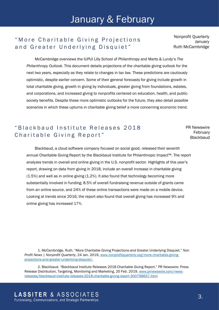## January & February

#### " More Charitable Giving Projections and Greater Underlying Disquiet"

Nonprofit Quarterly **January** Ruth McCambridge

McCambridge overviews the IUPUI Lilly School of Philanthropy and Marts & Lundy's *The Philanthropy Outlook*. This document details projections of the charitable giving outlook for the next two years, especially as they relate to changes in tax law. These predictions are cautiously optimistic, despite earlier concern. Some of their general forecasts for giving include growth in total charitable giving, growth in giving by individuals, greater giving from foundations, estates, and corporations, and increased giving to nonprofits centered on education, health, and publicsociety benefits. Despite these more optimistic outlooks for the future, they also detail possible scenarios in which these upturns in charitable giving belief a more concerning economic trend.

#### " Blackbaud Institute Releases 2018 Charitable Giving Report"

PR Newswire February **Blackbaud** 

Blackbaud, a cloud software company focused on social good, released their seventh annual [Charitable Giving Report](https://c212.net/c/link/?t=0&l=en&o=2380072-1&h=1224449805&u=http%3A%2F%2Fwww.blackbaudinstitute.com%2Fcharitablegiving&a=2018+Charitable+Giving+Report) by the Blackbaud Institute for Philanthropic Impact™. The report analyzes trends in overall and online giving in the U.S. nonprofit sector. Highlights of this year's report, drawing on data from giving in 2018, include an overall increase in charitable giving (1.5%) and well as in online giving (1.2%). It also found that technology becoming more substantially involved in funding; 8.5% of overall fundraising revenue outside of grants came from an online source, and 24% of these online transactions were made on a mobile device. Looking at trends since 2016, the report also found that overall giving has increased 9% and online giving has increased 17%.

1. McCambridge, Ruth. "More Charitable Giving Projections-and Greater Underlying Disquiet." *Non Profit News | Nonprofit Quarterly*, 24 Jan. 2019[, www.nonprofitquarterly.org/more-charitable-giving](http://www.nonprofitquarterly.org/more-charitable-giving-projections-and-greater-underlying-disquiet/)[projections-and-greater-underlying-disquiet/.](http://www.nonprofitquarterly.org/more-charitable-giving-projections-and-greater-underlying-disquiet/)

2. Blackbaud. "Blackbaud Institute Releases 2018 Charitable Giving Report." PR Newswire: Press Release Distribution, Targeting, Monitoring and Marketing, 20 Feb. 2019[, www.prnewswire.com/news](http://www.prnewswire.com/news-releases/blackbaud-institute-releases-2018-charitable-giving-report-300798657.html)[releases/blackbaud-institute-releases-2018-charitable-giving-report-300798657.html](http://www.prnewswire.com/news-releases/blackbaud-institute-releases-2018-charitable-giving-report-300798657.html)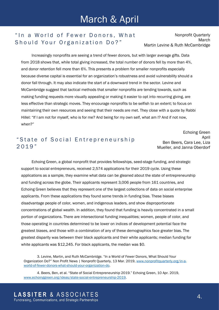#### " In a World of Fewer Donors, What Should Your Organization Do?"

Nonprofit Quarterly March Martin Levine & Ruth McCambridge

Increasingly nonprofits are seeing a trend of fewer donors, but with larger average gifts. Data from 2018 shows that, while total giving increased, the total number of donors fell by more than 4%, and donor retention fell more than 6%. This presents a problem for smaller nonprofits especially because diverse capital is essential for an organization's robustness and avoid vulnerability should a donor fall through. It may also indicate the start of a downward trend in the sector. Levine and McCambridge suggest that tactical methods that smaller nonprofits are tending towards, such as making funding requests more visually appealing or making it easier to opt into recurring giving, are less effective than strategic moves. They encourage nonprofits to be selfish to an extent; to focus on maintaining their own resources and seeing that their needs are met. They close with a quote by Rabbi Hillel: "If I am not for myself, who is for me? And being for my own self, what am I? And if not now, when?"

#### " State of Social Entrepreneurship 2 0 1 9 "

Echoing Green April Ben Beers, Cara Lee, Liza Mueller, and Janna Oberdorf

Echoing Green, a global nonprofit that provides fellowships, seed-stage funding, and strategic support to social entrepreneurs, received 2,574 applications for their 2019 cycle. Using these applications as a sample, they examine what data can be gleaned about the state of entrepreneurship and funding across the globe. Their applicants represent 3,006 people from 161 countries, and Echoing Green believes that they represent one of the largest collections of data on social enterprise applicants. From these applications they found some trends in funding bias. These biases disadvantage people of color, women, and indigenous leaders, and show disproportionate concentrations of global wealth. In addition, they found that funding is heavily concentrated in a small portion of organizations. There are intersectional funding inequalities; women, people of color, and those operating in countries determined to be lower on indices of development potential face the greatest biases, and those with a combination of any of these demographics face greater bias. The greatest disparity was between their black applicants and their white applicants; median funding for white applicants was \$12,245. For black applicants, the median was \$0.

3. Levine, Martin, and Ruth McCambridge. "In a World of Fewer Donors, What Should Your Organization Do?" Non Profit News | Nonprofit Quarterly, 13 Mar. 2019, [www.nonprofitquarterly.org/in-a](http://www.nonprofitquarterly.org/in-a-world-of-fewer-donors-what-should-your-organization-do)[world-of-fewer-donors-what-should-your-organization-do.](http://www.nonprofitquarterly.org/in-a-world-of-fewer-donors-what-should-your-organization-do)

4. Beers, Ben, et al. "State of Social Entrepreneurship 2019." Echoing Green, 10 Apr. 2019, [www.echoinggreen.org/ideas/state-social-entrepreneurship-2019.](http://www.echoinggreen.org/ideas/state-social-entrepreneurship-2019)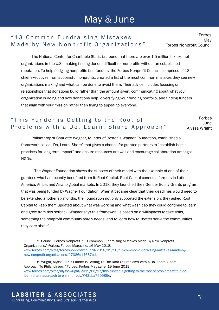# May & June

#### "13 Common Fundraising Mistakes Made by New Nonprofit Organizations"

Forbes May Forbes Nonprofit Council

The National Center for Charitable Statistics found that there are over 1.5 million tax-exempt organizations in the U.S., making finding donors difficult for nonprofits without an established reputation. To help fledgling nonprofits find funders, the Forbes Nonprofit Council, comprised of 13 chief executives from successful nonprofits, created a list of the most common mistakes they see new organizations making and what can be done to avoid them. Their advice includes focusing on relationships that donations build rather than the amount given, communicating about what your organization is doing and how donations help, diversifying your funding portfolio, and finding funders that align with your mission rather than trying to appeal to everyone.

#### " This Funder is Getting to the Root of Problems with a Do, Learn, Share Approach"

Forbes June Alyssa Wright

Philanthropist Charlotte Wagner, founder of Boston's Wagner Foundation, established a framework called "Do, Learn, Share" that gives a chance for grantee partners to "establish best practices for long term impact" and ensure resources are well and encourage collaboration amongst NGOs.

The Wagner Foundation shows the success of their model with the example of one of their grantees who has recently benefited from it: Root Capital. Root Capital connects farmers in Latin America, Africa, and Asia to global markets. In 2018, they launched their Gender Equity Grants program that was being funded by Wagner Foundation. When it became clear that their deadlines would need to be extended another six months, the Foundation not only supported the extension, they asked Root Capital to keep them updated about what was working and what wasn't so they could continue to learn and grow from this setback. Wagner says this framework is based on a willingness to take risks, something the nonprofit community sorely needs, and to learn how to "better serve the communities they care about".

5. Council, Forbes Nonprofit. "13 Common Fundraising Mistakes Made By New Nonprofit Organizations." Forbes, Forbes Magazine, 16 May 2018, [www.forbes.com/sites/forbesnonprofitcouncil/2018/05/16/13-common-fundraising-mistakes-made-by](http://www.forbes.com/sites/forbesnonprofitcouncil/2018/05/16/13-common-fundraising-mistakes-made-by-new-nonprofit-organizations/#7386c14687ed)[new-nonprofit-organizations/#7386c14687ed.](http://www.forbes.com/sites/forbesnonprofitcouncil/2018/05/16/13-common-fundraising-mistakes-made-by-new-nonprofit-organizations/#7386c14687ed)

6. Wright, Alyssa. "This Funder Is Getting To The Root Of Problems With A Do, Learn, Share Approach To Philanthropy." Forbes, Forbes Magazine, 19 June 2019, [www.forbes.com/sites/alyssawright/2019/06/17/this-funder-is-getting-to-the-root-of-problems-with-a-do](http://www.forbes.com/sites/alyssawright/2019/06/17/this-funder-is-getting-to-the-root-of-problems-with-a-do-learn-share-approach-to-philanthropy/#43bba790585e)[learn-share-approach-to-philanthropy/#43bba790585e.](http://www.forbes.com/sites/alyssawright/2019/06/17/this-funder-is-getting-to-the-root-of-problems-with-a-do-learn-share-approach-to-philanthropy/#43bba790585e)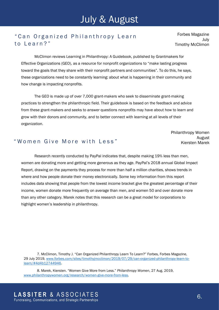#### " Can Organized Philanthropy Learn to Learn?"

Forbes Magazine July Timothy McClimon

McClimon reviews Learning in Philanthropy: A Guidebook, published by Grantmakers for Effective Organizations (GEO), as a resource for nonprofit organizations to "make lasting progress toward the goals that they share with their nonprofit partners and communities". To do this, he says, these organizations need to be constantly learning: about what is happening in their community and how change is impacting nonprofits.

The GEO is made up of over 7,000 grant-makers who seek to disseminate grant-making practices to strengthen the philanthropic field. Their guidebook is based on the feedback and advice from these grant-makers and seeks to answer questions nonprofits may have about how to learn and grow with their donors and community, and to better connect with learning at all levels of their organization.

> Philanthropy Women August Kiersten Marek

#### " Women Give More with Less"

Research recently conducted by PayPal indicates that, despite making 19% less than men, women are donating more and getting more generous as they age. PayPal's 2018 annual Global Impact Report, drawing on the payments they process for more than half a million charities, shows trends in where and how people donate their money electronically. Some key information from this report includes data showing that people from the lowest income bracket give the greatest percentage of their income, women donate more frequently on average than men, and women 50 and over donate more than any other category. Marek notes that this research can be a great model for corporations to highlight women's leadership in philanthropy.

7. McClimon, Timothy J. "Can Organized Philanthropy Learn To Learn?" Forbes, Forbes Magazine, 29 July 2019[, www.forbes.com/sites/timothyjmcclimon/2019/07/29/can-organized-philanthropy-learn-to](http://www.forbes.com/sites/timothyjmcclimon/2019/07/29/can-organized-philanthropy-learn-to-learn/#4d4b12744946)[learn/#4d4b12744946.](http://www.forbes.com/sites/timothyjmcclimon/2019/07/29/can-organized-philanthropy-learn-to-learn/#4d4b12744946)

8. Marek, Kiersten. "Women Give More from Less." *Philanthropy Women*, 27 Aug. 2019, [www.philanthropywomen.org/research/women-give-more-from-less.](http://www.philanthropywomen.org/research/women-give-more-from-less)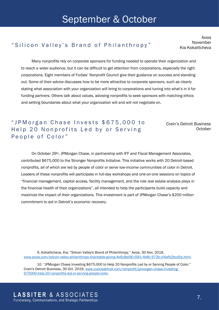## September & October

#### "Silicon Valley's Brand of Philanthropy" [Kia Kokalitcheva]

Axios November

Many nonprofits rely on corporate sponsors for funding needed to operate their organization and to reach a wider audience, but it can be difficult to get attention from corporations, especially the right corporations. Eight members of Forbes' Nonprofit Council give their guidance on success and standing out. Some of their advice discusses how to be more attractive to corporate sponsors, such as clearly stating what association with your organization will bring to corporations and tuning into what's in it for funding partners. Others talk about values, advising nonprofits to seek sponsors with matching ethics and setting boundaries about what your organization will and will not negotiate on.

" JP M organ Chase Invests \$675,000 to Help 20 Nonprofits Led by or Serving People of Color"

Crain's Detroit Business **October** 

On October 29th, JPMorgan Chase, in partnership with IFF and Fiscal Management Associates, contributed \$675,000 to the Stronger Nonprofits Initiative. This initiative works with 20 Detroit-based nonprofits, all of which are led by people of color or serve low-income communities of color in Detroit. Leaders of these nonprofits will participate in full-day workshops and one-on-one sessions on topics of "financial management, capital access, facility management, and the role real estate analysis plays in the financial health of their organizations", all intended to help the participants build capacity and maximize the impact of their organizations. This investment is part of JPMorgan Chase's \$200 million commitment to aid in Detroit's economic recovery.

9. Kokalitcheva, Kia. "Silicon Valley's Brand of Philanthropy." Axios, 30 Nov. 2019, [www.axios.com/silicon-valley-philanthropy-charitable-giving-4e6c8e08-c581-4b8c-973b-cf4afb2bcd5e.html.](http://www.axios.com/silicon-valley-philanthropy-charitable-giving-4e6c8e08-c581-4b8c-973b-cf4afb2bcd5e.html)

10. "JPMorgan Chase Investing \$675,000 to Help 20 Nonprofits Led by or Serving People of Color." Crain's Detroit Business, 30 Oct. 2019, [www.crainsdetroit.com/nonprofit/jpmorgan-chase-investing-](http://www.crainsdetroit.com/nonprofit/jpmorgan-chase-investing-675000-help-20-nonprofits-led-or-serving-people-color)[675000-help-20-nonprofits-led-or-serving-people-color.](http://www.crainsdetroit.com/nonprofit/jpmorgan-chase-investing-675000-help-20-nonprofits-led-or-serving-people-color)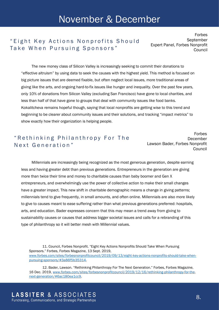#### " Eight Key Actions Nonprofits Should Take When Pursuing Sponsors"

Forbes September Expert Panel, Forbes Nonprofit Council

The new money class of Silicon Valley is increasingly seeking to commit their donations to "effective altruism" by using data to seek the causes with the highest yield. This method is focused on big picture issues that are deemed fixable, but often neglect local issues, more traditional areas of giving like the arts, and ongoing hard-to-fix issues like hunger and inequality. Over the past few years, only 10% of donations from Silicon Valley (excluding San Francisco) have gone to local charities, and less than half of that have gone to groups that deal with community issues like food banks. Kokalitcheva remains hopeful though, saying that local nonprofits are getting wise to this trend and beginning to be clearer about community issues and their solutions, and tracking "impact metrics" to show exactly how their organization is helping people.

#### "Rethinking Philanthropy For The Next Generation"

Forbes December Lawson Bader, Forbes Nonprofit Council

Millennials are increasingly being recognized as the most generous generation, despite earning less and having greater debt than previous generations. Entrepreneurs in the generation are giving more than twice their time and money to charitable causes than baby boomer and Gen X entrepreneurs, and overwhelmingly use the power of collective action to make their small changes have a greater impact. This new shift in charitable demographic means a change in giving patterns; millennials tend to give frequently, in small amounts, and often online. Millennials are also more likely to give to causes meant to ease suffering rather than what previous generations preferred: hospitals, arts, and education. Bader expresses concern that this may mean a trend away from giving to sustainability causes or causes that address bigger societal issues and calls for a rebranding of this type of philanthropy so it will better mesh with Millennial values.

11. Council, Forbes Nonprofit. "Eight Key Actions Nonprofits Should Take When Pursuing Sponsors." Forbes, Forbes Magazine, 13 Sept. 2019, [www.forbes.com/sites/forbesnonprofitcouncil/2019/09/13/eight-key-actions-nonprofits-should-take-when](http://www.forbes.com/sites/forbesnonprofitcouncil/2019/09/13/eight-key-actions-nonprofits-should-take-when-pursuing-sponsors/#3a86f5b35314)[pursuing-sponsors/#3a86f5b35314.](http://www.forbes.com/sites/forbesnonprofitcouncil/2019/09/13/eight-key-actions-nonprofits-should-take-when-pursuing-sponsors/#3a86f5b35314)

12. Bader, Lawson. "Rethinking Philanthropy For The Next Generation." Forbes, Forbes Magazine, 16 Dec. 2019, [www.forbes.com/sites/forbesnonprofitcouncil/2019/12/16/rethinking-philanthropy-for-the](http://www.forbes.com/sites/forbesnonprofitcouncil/2019/12/16/rethinking-philanthropy-for-the-next-generation/#6ac180ea1cc9)[next-generation/#6ac180ea1cc9.](http://www.forbes.com/sites/forbesnonprofitcouncil/2019/12/16/rethinking-philanthropy-for-the-next-generation/#6ac180ea1cc9)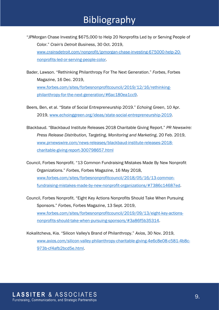- "JPMorgan Chase Investing \$675,000 to Help 20 Nonprofits Led by or Serving People of Color." *Crain's Detroit Business*, 30 Oct. 2019, [www.crainsdetroit.com/nonprofit/jpmorgan-chase-investing-675000-help-20](http://www.crainsdetroit.com/nonprofit/jpmorgan-chase-investing-675000-help-20-nonprofits-led-or-serving-people-color) [nonprofits-led-or-serving-people-color.](http://www.crainsdetroit.com/nonprofit/jpmorgan-chase-investing-675000-help-20-nonprofits-led-or-serving-people-color)
- Bader, Lawson. "Rethinking Philanthropy For The Next Generation." *Forbes*, Forbes Magazine, 16 Dec. 2019, [www.forbes.com/sites/forbesnonprofitcouncil/2019/12/16/rethinking](http://www.forbes.com/sites/forbesnonprofitcouncil/2019/12/16/rethinking-philanthropy-for-the-next-generation/#6ac180ea1cc9)[philanthropy-for-the-next-generation/#6ac180ea1cc9.](http://www.forbes.com/sites/forbesnonprofitcouncil/2019/12/16/rethinking-philanthropy-for-the-next-generation/#6ac180ea1cc9)
- Beers, Ben, et al. "State of Social Entrepreneurship 2019." *Echoing Green*, 10 Apr. 2019, [www.echoinggreen.org/ideas/state-social-entrepreneurship-2019.](http://www.echoinggreen.org/ideas/state-social-entrepreneurship-2019)
- Blackbaud. "Blackbaud Institute Releases 2018 Charitable Giving Report." *PR Newswire: Press Release Distribution, Targeting, Monitoring and Marketing*, 20 Feb. 2019, [www.prnewswire.com/news-releases/blackbaud-institute-releases-2018](http://www.prnewswire.com/news-releases/blackbaud-institute-releases-2018-charitable-giving-report-300798657.html) [charitable-giving-report-300798657.html](http://www.prnewswire.com/news-releases/blackbaud-institute-releases-2018-charitable-giving-report-300798657.html)
- Council, Forbes Nonprofit. "13 Common Fundraising Mistakes Made By New Nonprofit Organizations." *Forbes*, Forbes Magazine, 16 May 2018, [www.forbes.com/sites/forbesnonprofitcouncil/2018/05/16/13-common](http://www.forbes.com/sites/forbesnonprofitcouncil/2018/05/16/13-common-fundraising-mistakes-made-by-new-nonprofit-organizations/#7386c14687ed)[fundraising-mistakes-made-by-new-nonprofit-organizations/#7386c14687ed.](http://www.forbes.com/sites/forbesnonprofitcouncil/2018/05/16/13-common-fundraising-mistakes-made-by-new-nonprofit-organizations/#7386c14687ed)
- Council, Forbes Nonprofit. "Eight Key Actions Nonprofits Should Take When Pursuing Sponsors." *Forbes*, Forbes Magazine, 13 Sept. 2019, [www.forbes.com/sites/forbesnonprofitcouncil/2019/09/13/eight-key-actions](http://www.forbes.com/sites/forbesnonprofitcouncil/2019/09/13/eight-key-actions-nonprofits-should-take-when-pursuing-sponsors/#3a86f5b35314)[nonprofits-should-take-when-pursuing-sponsors/#3a86f5b35314.](http://www.forbes.com/sites/forbesnonprofitcouncil/2019/09/13/eight-key-actions-nonprofits-should-take-when-pursuing-sponsors/#3a86f5b35314)
- Kokalitcheva, Kia. "Silicon Valley's Brand of Philanthropy." *Axios*, 30 Nov. 2019, [www.axios.com/silicon-valley-philanthropy-charitable-giving-4e6c8e08-c581-4b8c-](http://www.axios.com/silicon-valley-philanthropy-charitable-giving-4e6c8e08-c581-4b8c-973b-cf4afb2bcd5e.html)[973b-cf4afb2bcd5e.html.](http://www.axios.com/silicon-valley-philanthropy-charitable-giving-4e6c8e08-c581-4b8c-973b-cf4afb2bcd5e.html)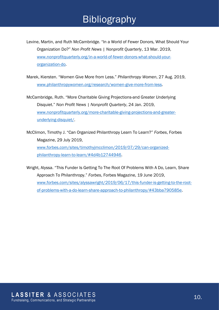# Bibliography

Levine, Martin, and Ruth McCambridge. "In a World of Fewer Donors, What Should Your Organization Do?" *Non Profit News | Nonprofit Quarterly*, 13 Mar. 2019, [www.nonprofitquarterly.org/in-a-world-of-fewer-donors-what-should-your](http://www.nonprofitquarterly.org/in-a-world-of-fewer-donors-what-should-your-organization-do)[organization-do.](http://www.nonprofitquarterly.org/in-a-world-of-fewer-donors-what-should-your-organization-do)

Marek, Kiersten. "Women Give More from Less." *Philanthropy Women*, 27 Aug. 2019, [www.philanthropywomen.org/research/women-give-more-from-less.](http://www.philanthropywomen.org/research/women-give-more-from-less)

McCambridge, Ruth. "More Charitable Giving Projections-and Greater Underlying Disquiet." *Non Profit News | Nonprofit Quarterly*, 24 Jan. 2019, [www.nonprofitquarterly.org/more-charitable-giving-projections-and-greater](http://www.nonprofitquarterly.org/more-charitable-giving-projections-and-greater-underlying-disquiet/)[underlying-disquiet/.](http://www.nonprofitquarterly.org/more-charitable-giving-projections-and-greater-underlying-disquiet/)

McClimon, Timothy J. "Can Organized Philanthropy Learn To Learn?" *Forbes*, Forbes Magazine, 29 July 2019, [www.forbes.com/sites/timothyjmcclimon/2019/07/29/can-organized](http://www.forbes.com/sites/timothyjmcclimon/2019/07/29/can-organized-philanthropy-learn-to-learn/#4d4b12744946)[philanthropy-learn-to-learn/#4d4b12744946.](http://www.forbes.com/sites/timothyjmcclimon/2019/07/29/can-organized-philanthropy-learn-to-learn/#4d4b12744946)

Wright, Alyssa. "This Funder Is Getting To The Root Of Problems With A Do, Learn, Share Approach To Philanthropy." *Forbes*, Forbes Magazine, 19 June 2019, [www.forbes.com/sites/alyssawright/2019/06/17/this-funder-is-getting-to-the-root](http://www.forbes.com/sites/alyssawright/2019/06/17/this-funder-is-getting-to-the-root-of-problems-with-a-do-learn-share-approach-to-philanthropy/#43bba790585e)[of-problems-with-a-do-learn-share-approach-to-philanthropy/#43bba790585e.](http://www.forbes.com/sites/alyssawright/2019/06/17/this-funder-is-getting-to-the-root-of-problems-with-a-do-learn-share-approach-to-philanthropy/#43bba790585e)